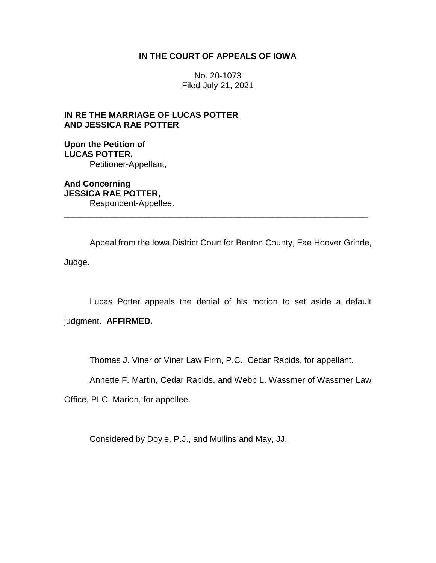## **IN THE COURT OF APPEALS OF IOWA**

No. 20-1073 Filed July 21, 2021

# **IN RE THE MARRIAGE OF LUCAS POTTER AND JESSICA RAE POTTER**

**Upon the Petition of LUCAS POTTER,** Petitioner-Appellant,

**And Concerning JESSICA RAE POTTER,** Respondent-Appellee. \_\_\_\_\_\_\_\_\_\_\_\_\_\_\_\_\_\_\_\_\_\_\_\_\_\_\_\_\_\_\_\_\_\_\_\_\_\_\_\_\_\_\_\_\_\_\_\_\_\_\_\_\_\_\_\_\_\_\_\_\_\_\_\_

Appeal from the Iowa District Court for Benton County, Fae Hoover Grinde, Judge.

Lucas Potter appeals the denial of his motion to set aside a default

judgment. **AFFIRMED.**

Thomas J. Viner of Viner Law Firm, P.C., Cedar Rapids, for appellant.

Annette F. Martin, Cedar Rapids, and Webb L. Wassmer of Wassmer Law

Office, PLC, Marion, for appellee.

Considered by Doyle, P.J., and Mullins and May, JJ.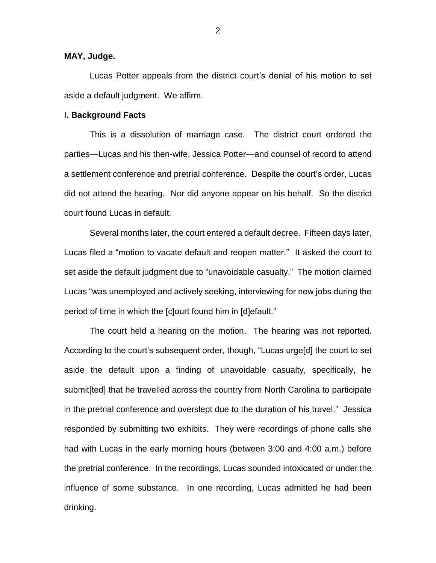## **MAY, Judge.**

Lucas Potter appeals from the district court's denial of his motion to set aside a default judgment. We affirm.

#### I**. Background Facts**

This is a dissolution of marriage case. The district court ordered the parties—Lucas and his then-wife, Jessica Potter—and counsel of record to attend a settlement conference and pretrial conference. Despite the court's order, Lucas did not attend the hearing. Nor did anyone appear on his behalf. So the district court found Lucas in default.

Several months later, the court entered a default decree. Fifteen days later, Lucas filed a "motion to vacate default and reopen matter." It asked the court to set aside the default judgment due to "unavoidable casualty." The motion claimed Lucas "was unemployed and actively seeking, interviewing for new jobs during the period of time in which the [c]ourt found him in [d]efault."

The court held a hearing on the motion. The hearing was not reported. According to the court's subsequent order, though, "Lucas urge[d] the court to set aside the default upon a finding of unavoidable casualty, specifically, he submit[ted] that he travelled across the country from North Carolina to participate in the pretrial conference and overslept due to the duration of his travel." Jessica responded by submitting two exhibits. They were recordings of phone calls she had with Lucas in the early morning hours (between 3:00 and 4:00 a.m.) before the pretrial conference. In the recordings, Lucas sounded intoxicated or under the influence of some substance. In one recording, Lucas admitted he had been drinking.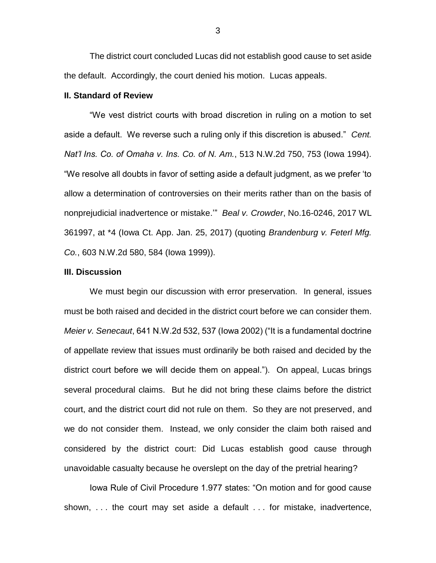The district court concluded Lucas did not establish good cause to set aside the default. Accordingly, the court denied his motion. Lucas appeals.

## **II. Standard of Review**

"We vest district courts with broad discretion in ruling on a motion to set aside a default. We reverse such a ruling only if this discretion is abused." *Cent. Nat'l Ins. Co. of Omaha v. Ins. Co. of N. Am.*, 513 N.W.2d 750, 753 (Iowa 1994). "We resolve all doubts in favor of setting aside a default judgment, as we prefer 'to allow a determination of controversies on their merits rather than on the basis of nonprejudicial inadvertence or mistake.'" *Beal v. Crowder*, No.16-0246, 2017 WL 361997, at \*4 (Iowa Ct. App. Jan. 25, 2017) (quoting *Brandenburg v. Feterl Mfg. Co.*, 603 N.W.2d 580, 584 (Iowa 1999)).

#### **III. Discussion**

We must begin our discussion with error preservation. In general, issues must be both raised and decided in the district court before we can consider them. *Meier v. Senecaut*, 641 N.W.2d 532, 537 (Iowa 2002) ("It is a fundamental doctrine of appellate review that issues must ordinarily be both raised and decided by the district court before we will decide them on appeal."). On appeal, Lucas brings several procedural claims. But he did not bring these claims before the district court, and the district court did not rule on them. So they are not preserved, and we do not consider them. Instead, we only consider the claim both raised and considered by the district court: Did Lucas establish good cause through unavoidable casualty because he overslept on the day of the pretrial hearing?

Iowa Rule of Civil Procedure 1.977 states: "On motion and for good cause shown, . . . the court may set aside a default . . . for mistake, inadvertence,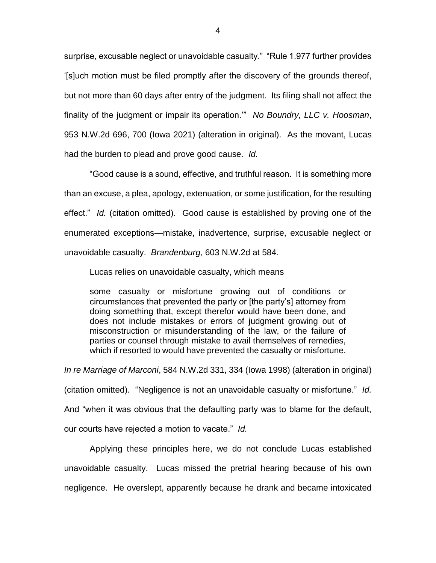surprise, excusable neglect or unavoidable casualty." "Rule 1.977 further provides '[s]uch motion must be filed promptly after the discovery of the grounds thereof, but not more than 60 days after entry of the judgment. Its filing shall not affect the finality of the judgment or impair its operation.'" *No Boundry, LLC v. Hoosman*, 953 N.W.2d 696, 700 (Iowa 2021) (alteration in original). As the movant, Lucas had the burden to plead and prove good cause. *Id.*

"Good cause is a sound, effective, and truthful reason. It is something more than an excuse, a plea, apology, extenuation, or some justification, for the resulting effect." *Id.* (citation omitted). Good cause is established by proving one of the enumerated exceptions—mistake, inadvertence, surprise, excusable neglect or unavoidable casualty. *Brandenburg*, 603 N.W.2d at 584.

Lucas relies on unavoidable casualty, which means

some casualty or misfortune growing out of conditions or circumstances that prevented the party or [the party's] attorney from doing something that, except therefor would have been done, and does not include mistakes or errors of judgment growing out of misconstruction or misunderstanding of the law, or the failure of parties or counsel through mistake to avail themselves of remedies, which if resorted to would have prevented the casualty or misfortune.

*In re Marriage of Marconi*, 584 N.W.2d 331, 334 (Iowa 1998) (alteration in original) (citation omitted). "Negligence is not an unavoidable casualty or misfortune." *Id.* And "when it was obvious that the defaulting party was to blame for the default, our courts have rejected a motion to vacate." *Id.*

Applying these principles here, we do not conclude Lucas established unavoidable casualty. Lucas missed the pretrial hearing because of his own negligence. He overslept, apparently because he drank and became intoxicated